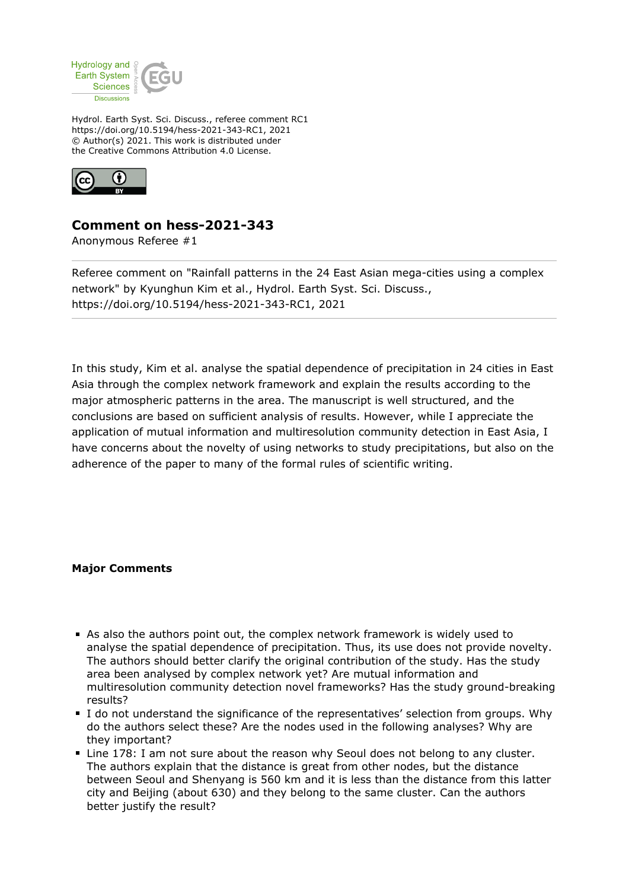

Hydrol. Earth Syst. Sci. Discuss., referee comment RC1 https://doi.org/10.5194/hess-2021-343-RC1, 2021 © Author(s) 2021. This work is distributed under the Creative Commons Attribution 4.0 License.



## **Comment on hess-2021-343**

Anonymous Referee #1

Referee comment on "Rainfall patterns in the 24 East Asian mega-cities using a complex network" by Kyunghun Kim et al., Hydrol. Earth Syst. Sci. Discuss., https://doi.org/10.5194/hess-2021-343-RC1, 2021

In this study, Kim et al. analyse the spatial dependence of precipitation in 24 cities in East Asia through the complex network framework and explain the results according to the major atmospheric patterns in the area. The manuscript is well structured, and the conclusions are based on sufficient analysis of results. However, while I appreciate the application of mutual information and multiresolution community detection in East Asia, I have concerns about the novelty of using networks to study precipitations, but also on the adherence of the paper to many of the formal rules of scientific writing.

## **Major Comments**

- As also the authors point out, the complex network framework is widely used to analyse the spatial dependence of precipitation. Thus, its use does not provide novelty. The authors should better clarify the original contribution of the study. Has the study area been analysed by complex network yet? Are mutual information and multiresolution community detection novel frameworks? Has the study ground-breaking results?
- I do not understand the significance of the representatives' selection from groups. Why do the authors select these? Are the nodes used in the following analyses? Why are they important?
- Line 178: I am not sure about the reason why Seoul does not belong to any cluster. The authors explain that the distance is great from other nodes, but the distance between Seoul and Shenyang is 560 km and it is less than the distance from this latter city and Beijing (about 630) and they belong to the same cluster. Can the authors better justify the result?